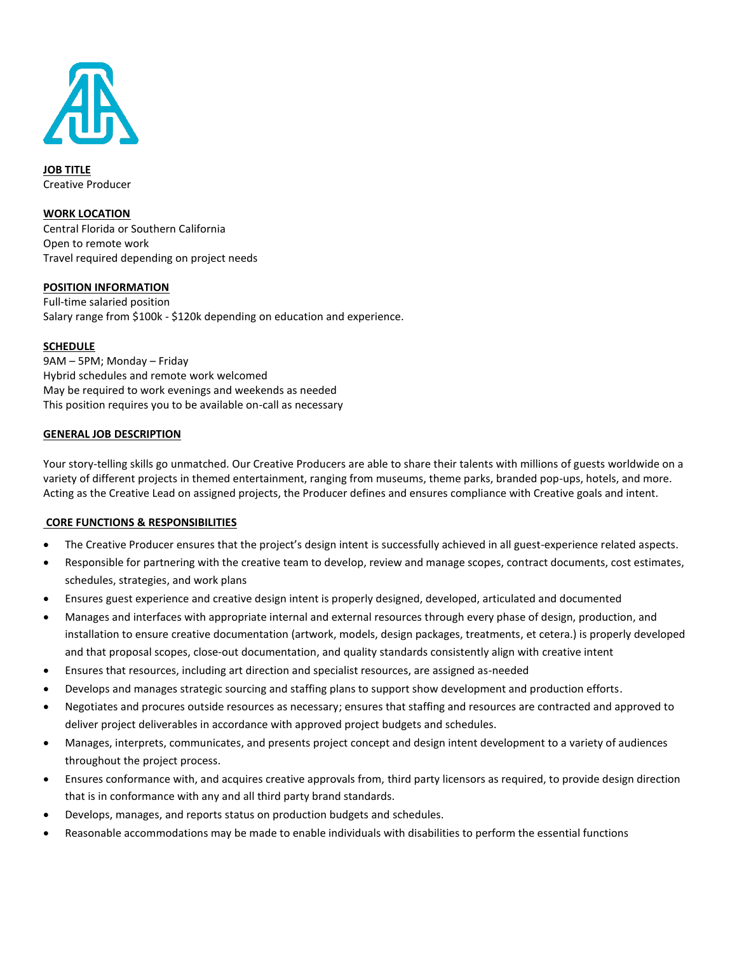

**JOB TITLE** Creative Producer

#### **WORK LOCATION**

Central Florida or Southern California Open to remote work Travel required depending on project needs

#### **POSITION INFORMATION**

Full-time salaried position Salary range from \$100k - \$120k depending on education and experience.

#### **SCHEDULE**

9AM – 5PM; Monday – Friday Hybrid schedules and remote work welcomed May be required to work evenings and weekends as needed This position requires you to be available on-call as necessary

#### **GENERAL JOB DESCRIPTION**

Your story-telling skills go unmatched. Our Creative Producers are able to share their talents with millions of guests worldwide on a variety of different projects in themed entertainment, ranging from museums, theme parks, branded pop-ups, hotels, and more. Acting as the Creative Lead on assigned projects, the Producer defines and ensures compliance with Creative goals and intent.

#### **CORE FUNCTIONS & RESPONSIBILITIES**

- The Creative Producer ensures that the project's design intent is successfully achieved in all guest-experience related aspects.
- Responsible for partnering with the creative team to develop, review and manage scopes, contract documents, cost estimates, schedules, strategies, and work plans
- Ensures guest experience and creative design intent is properly designed, developed, articulated and documented
- Manages and interfaces with appropriate internal and external resources through every phase of design, production, and installation to ensure creative documentation (artwork, models, design packages, treatments, et cetera.) is properly developed and that proposal scopes, close-out documentation, and quality standards consistently align with creative intent
- Ensures that resources, including art direction and specialist resources, are assigned as-needed
- Develops and manages strategic sourcing and staffing plans to support show development and production efforts.
- Negotiates and procures outside resources as necessary; ensures that staffing and resources are contracted and approved to deliver project deliverables in accordance with approved project budgets and schedules.
- Manages, interprets, communicates, and presents project concept and design intent development to a variety of audiences throughout the project process.
- Ensures conformance with, and acquires creative approvals from, third party licensors as required, to provide design direction that is in conformance with any and all third party brand standards.
- Develops, manages, and reports status on production budgets and schedules.
- Reasonable accommodations may be made to enable individuals with disabilities to perform the essential functions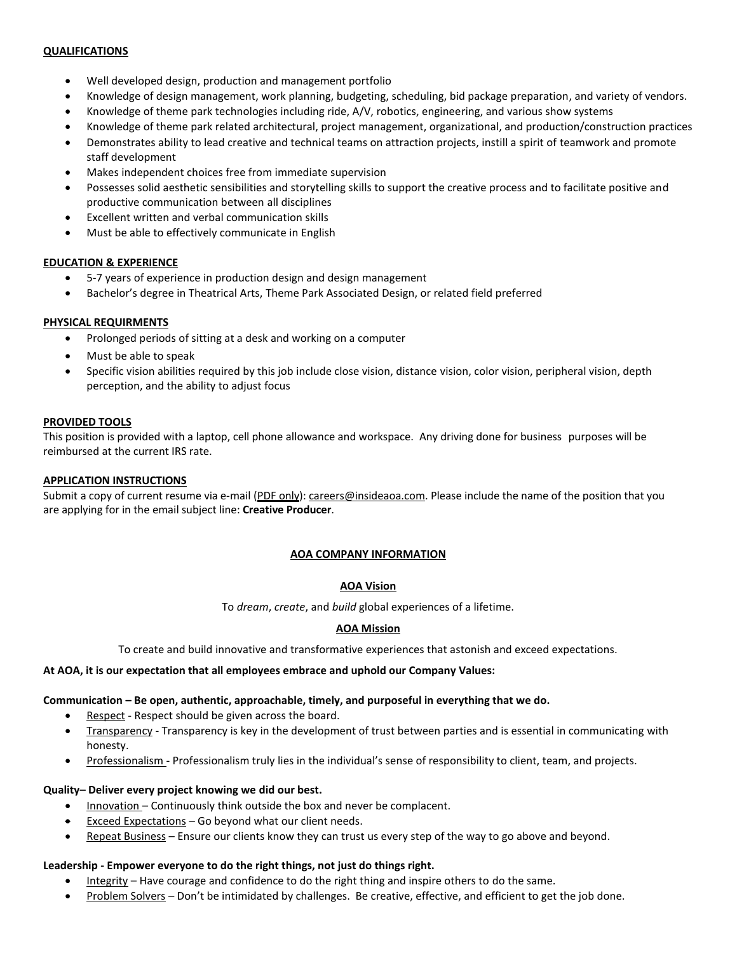#### **QUALIFICATIONS**

- Well developed design, production and management portfolio
- Knowledge of design management, work planning, budgeting, scheduling, bid package preparation, and variety of vendors.
- Knowledge of theme park technologies including ride, A/V, robotics, engineering, and various show systems
- Knowledge of theme park related architectural, project management, organizational, and production/construction practices
- Demonstrates ability to lead creative and technical teams on attraction projects, instill a spirit of teamwork and promote staff development
- Makes independent choices free from immediate supervision
- Possesses solid aesthetic sensibilities and storytelling skills to support the creative process and to facilitate positive and productive communication between all disciplines
- Excellent written and verbal communication skills
- Must be able to effectively communicate in English

## **EDUCATION & EXPERIENCE**

- 5-7 years of experience in production design and design management
- Bachelor's degree in Theatrical Arts, Theme Park Associated Design, or related field preferred

# **PHYSICAL REQUIRMENTS**

- Prolonged periods of sitting at a desk and working on a computer
- Must be able to speak
- Specific vision abilities required by this job include close vision, distance vision, color vision, peripheral vision, depth perception, and the ability to adjust focus

## **PROVIDED TOOLS**

This position is provided with a laptop, cell phone allowance and workspace. Any driving done for business purposes will be reimbursed at the current IRS rate.

# **APPLICATION INSTRUCTIONS**

Submit a copy of current resume via e-mail (PDF only): [careers@insideaoa.com.](mailto:careers@insideaoa.com) Please include the name of the position that you are applying for in the email subject line: **Creative Producer**.

## **AOA COMPANY INFORMATION**

## **AOA Vision**

To *dream*, *create*, and *build* global experiences of a lifetime.

# **AOA Mission**

To create and build innovative and transformative experiences that astonish and exceed expectations.

## **At AOA, it is our expectation that all employees embrace and uphold our Company Values:**

## **Communication – Be open, authentic, approachable, timely, and purposeful in everything that we do.**

- Respect Respect should be given across the board.
- Transparency Transparency is key in the development of trust between parties and is essential in communicating with honesty.
- Professionalism Professionalism truly lies in the individual's sense of responsibility to client, team, and projects.

# **Quality– Deliver every project knowing we did our best.**

- Innovation Continuously think outside the box and never be complacent.
- **Exceed Expectations Go beyond what our client needs.**
- Repeat Business Ensure our clients know they can trust us every step of the way to go above and beyond.

## **Leadership - Empower everyone to do the right things, not just do things right.**

- Integrity Have courage and confidence to do the right thing and inspire others to do the same.
- Problem Solvers Don't be intimidated by challenges. Be creative, effective, and efficient to get the job done.